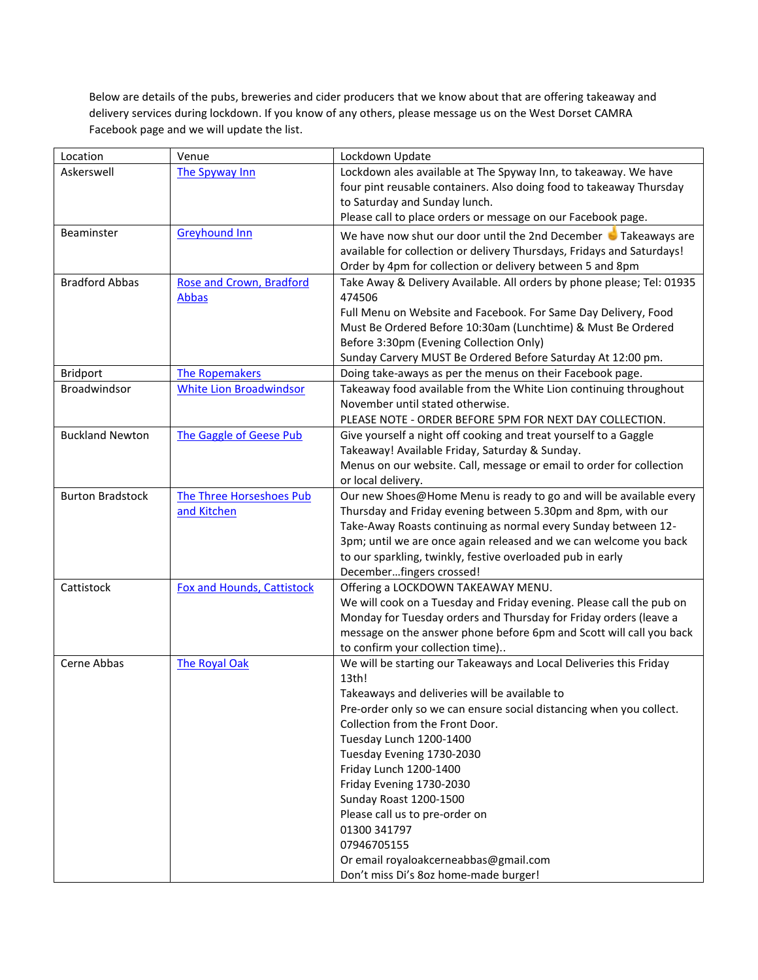Below are details of the pubs, breweries and cider producers that we know about that are offering takeaway and delivery services during lockdown. If you know of any others, please message us on the West Dorset CAMRA Facebook page and we will update the list.

| Location                | Venue                             | Lockdown Update                                                        |
|-------------------------|-----------------------------------|------------------------------------------------------------------------|
| Askerswell              | The Spyway Inn                    | Lockdown ales available at The Spyway Inn, to takeaway. We have        |
|                         |                                   | four pint reusable containers. Also doing food to takeaway Thursday    |
|                         |                                   | to Saturday and Sunday lunch.                                          |
|                         |                                   | Please call to place orders or message on our Facebook page.           |
| Beaminster              | <b>Greyhound Inn</b>              | We have now shut our door until the 2nd December Takeaways are         |
|                         |                                   | available for collection or delivery Thursdays, Fridays and Saturdays! |
|                         |                                   | Order by 4pm for collection or delivery between 5 and 8pm              |
| <b>Bradford Abbas</b>   | <b>Rose and Crown, Bradford</b>   | Take Away & Delivery Available. All orders by phone please; Tel: 01935 |
|                         | <b>Abbas</b>                      | 474506                                                                 |
|                         |                                   | Full Menu on Website and Facebook. For Same Day Delivery, Food         |
|                         |                                   | Must Be Ordered Before 10:30am (Lunchtime) & Must Be Ordered           |
|                         |                                   | Before 3:30pm (Evening Collection Only)                                |
|                         |                                   | Sunday Carvery MUST Be Ordered Before Saturday At 12:00 pm.            |
| <b>Bridport</b>         | <b>The Ropemakers</b>             | Doing take-aways as per the menus on their Facebook page.              |
| <b>Broadwindsor</b>     | <b>White Lion Broadwindsor</b>    | Takeaway food available from the White Lion continuing throughout      |
|                         |                                   | November until stated otherwise.                                       |
|                         |                                   | PLEASE NOTE - ORDER BEFORE 5PM FOR NEXT DAY COLLECTION.                |
| <b>Buckland Newton</b>  | The Gaggle of Geese Pub           | Give yourself a night off cooking and treat yourself to a Gaggle       |
|                         |                                   | Takeaway! Available Friday, Saturday & Sunday.                         |
|                         |                                   | Menus on our website. Call, message or email to order for collection   |
|                         |                                   | or local delivery.                                                     |
| <b>Burton Bradstock</b> | The Three Horseshoes Pub          | Our new Shoes@Home Menu is ready to go and will be available every     |
|                         | and Kitchen                       | Thursday and Friday evening between 5.30pm and 8pm, with our           |
|                         |                                   | Take-Away Roasts continuing as normal every Sunday between 12-         |
|                         |                                   | 3pm; until we are once again released and we can welcome you back      |
|                         |                                   | to our sparkling, twinkly, festive overloaded pub in early             |
|                         |                                   | Decemberfingers crossed!                                               |
| Cattistock              | <b>Fox and Hounds, Cattistock</b> | Offering a LOCKDOWN TAKEAWAY MENU.                                     |
|                         |                                   | We will cook on a Tuesday and Friday evening. Please call the pub on   |
|                         |                                   | Monday for Tuesday orders and Thursday for Friday orders (leave a      |
|                         |                                   | message on the answer phone before 6pm and Scott will call you back    |
|                         |                                   | to confirm your collection time)                                       |
| Cerne Abbas             | <b>The Royal Oak</b>              | We will be starting our Takeaways and Local Deliveries this Friday     |
|                         |                                   | 13th!                                                                  |
|                         |                                   | Takeaways and deliveries will be available to                          |
|                         |                                   | Pre-order only so we can ensure social distancing when you collect.    |
|                         |                                   | Collection from the Front Door.                                        |
|                         |                                   | Tuesday Lunch 1200-1400                                                |
|                         |                                   | Tuesday Evening 1730-2030                                              |
|                         |                                   | Friday Lunch 1200-1400                                                 |
|                         |                                   | Friday Evening 1730-2030                                               |
|                         |                                   | Sunday Roast 1200-1500                                                 |
|                         |                                   | Please call us to pre-order on                                         |
|                         |                                   | 01300 341797                                                           |
|                         |                                   | 07946705155                                                            |
|                         |                                   | Or email royaloakcerneabbas@gmail.com                                  |
|                         |                                   | Don't miss Di's 8oz home-made burger!                                  |
|                         |                                   |                                                                        |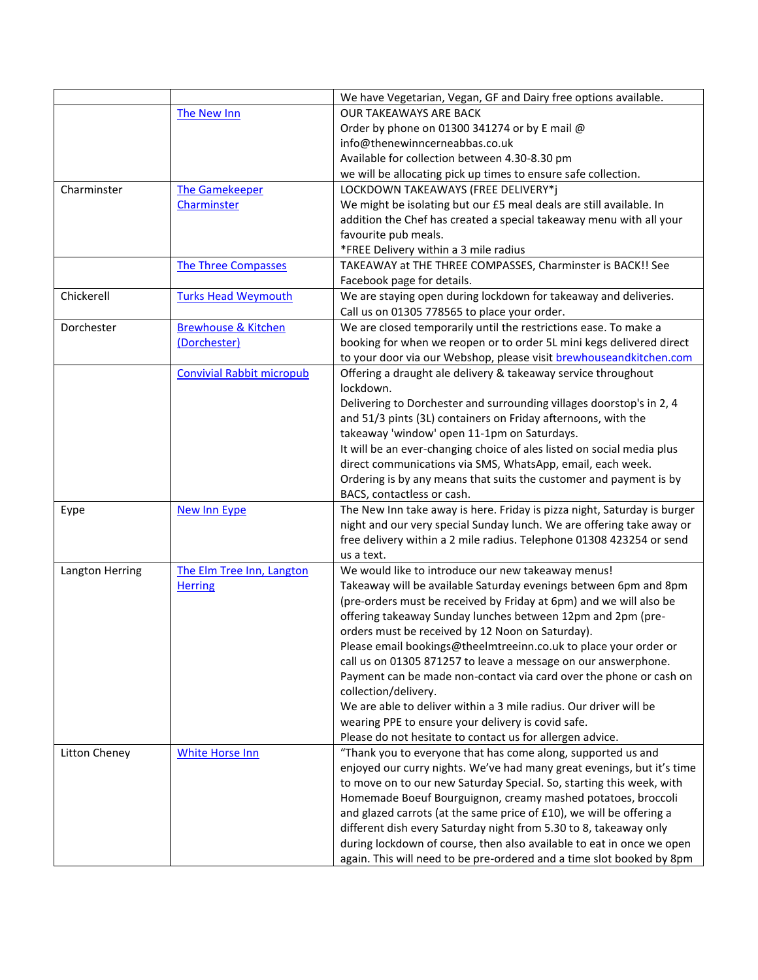|                      |                                  | We have Vegetarian, Vegan, GF and Dairy free options available.          |
|----------------------|----------------------------------|--------------------------------------------------------------------------|
|                      | The New Inn                      | <b>OUR TAKEAWAYS ARE BACK</b>                                            |
|                      |                                  | Order by phone on 01300 341274 or by E mail @                            |
|                      |                                  | info@thenewinncerneabbas.co.uk                                           |
|                      |                                  | Available for collection between 4.30-8.30 pm                            |
|                      |                                  | we will be allocating pick up times to ensure safe collection.           |
| Charminster          | <b>The Gamekeeper</b>            | LOCKDOWN TAKEAWAYS (FREE DELIVERY*j                                      |
|                      | Charminster                      | We might be isolating but our £5 meal deals are still available. In      |
|                      |                                  | addition the Chef has created a special takeaway menu with all your      |
|                      |                                  | favourite pub meals.                                                     |
|                      |                                  | *FREE Delivery within a 3 mile radius                                    |
|                      | <b>The Three Compasses</b>       | TAKEAWAY at THE THREE COMPASSES, Charminster is BACK!! See               |
|                      |                                  | Facebook page for details.                                               |
| Chickerell           | <b>Turks Head Weymouth</b>       | We are staying open during lockdown for takeaway and deliveries.         |
|                      |                                  | Call us on 01305 778565 to place your order.                             |
| Dorchester           | <b>Brewhouse &amp; Kitchen</b>   | We are closed temporarily until the restrictions ease. To make a         |
|                      | (Dorchester)                     | booking for when we reopen or to order 5L mini kegs delivered direct     |
|                      |                                  | to your door via our Webshop, please visit brewhouseandkitchen.com       |
|                      | <b>Convivial Rabbit micropub</b> | Offering a draught ale delivery & takeaway service throughout            |
|                      |                                  | lockdown.                                                                |
|                      |                                  | Delivering to Dorchester and surrounding villages doorstop's in 2, 4     |
|                      |                                  | and 51/3 pints (3L) containers on Friday afternoons, with the            |
|                      |                                  | takeaway 'window' open 11-1pm on Saturdays.                              |
|                      |                                  | It will be an ever-changing choice of ales listed on social media plus   |
|                      |                                  | direct communications via SMS, WhatsApp, email, each week.               |
|                      |                                  | Ordering is by any means that suits the customer and payment is by       |
|                      |                                  | BACS, contactless or cash.                                               |
| Eype                 | <b>New Inn Eype</b>              | The New Inn take away is here. Friday is pizza night, Saturday is burger |
|                      |                                  | night and our very special Sunday lunch. We are offering take away or    |
|                      |                                  | free delivery within a 2 mile radius. Telephone 01308 423254 or send     |
|                      |                                  | us a text.                                                               |
| Langton Herring      | The Elm Tree Inn, Langton        | We would like to introduce our new takeaway menus!                       |
|                      | <b>Herring</b>                   | Takeaway will be available Saturday evenings between 6pm and 8pm         |
|                      |                                  | (pre-orders must be received by Friday at 6pm) and we will also be       |
|                      |                                  | offering takeaway Sunday lunches between 12pm and 2pm (pre-              |
|                      |                                  | orders must be received by 12 Noon on Saturday).                         |
|                      |                                  | Please email bookings@theelmtreeinn.co.uk to place your order or         |
|                      |                                  | call us on 01305 871257 to leave a message on our answerphone.           |
|                      |                                  | Payment can be made non-contact via card over the phone or cash on       |
|                      |                                  | collection/delivery.                                                     |
|                      |                                  | We are able to deliver within a 3 mile radius. Our driver will be        |
|                      |                                  | wearing PPE to ensure your delivery is covid safe.                       |
|                      |                                  | Please do not hesitate to contact us for allergen advice.                |
| <b>Litton Cheney</b> | <b>White Horse Inn</b>           | "Thank you to everyone that has come along, supported us and             |
|                      |                                  | enjoyed our curry nights. We've had many great evenings, but it's time   |
|                      |                                  | to move on to our new Saturday Special. So, starting this week, with     |
|                      |                                  | Homemade Boeuf Bourguignon, creamy mashed potatoes, broccoli             |
|                      |                                  | and glazed carrots (at the same price of £10), we will be offering a     |
|                      |                                  | different dish every Saturday night from 5.30 to 8, takeaway only        |
|                      |                                  | during lockdown of course, then also available to eat in once we open    |
|                      |                                  | again. This will need to be pre-ordered and a time slot booked by 8pm    |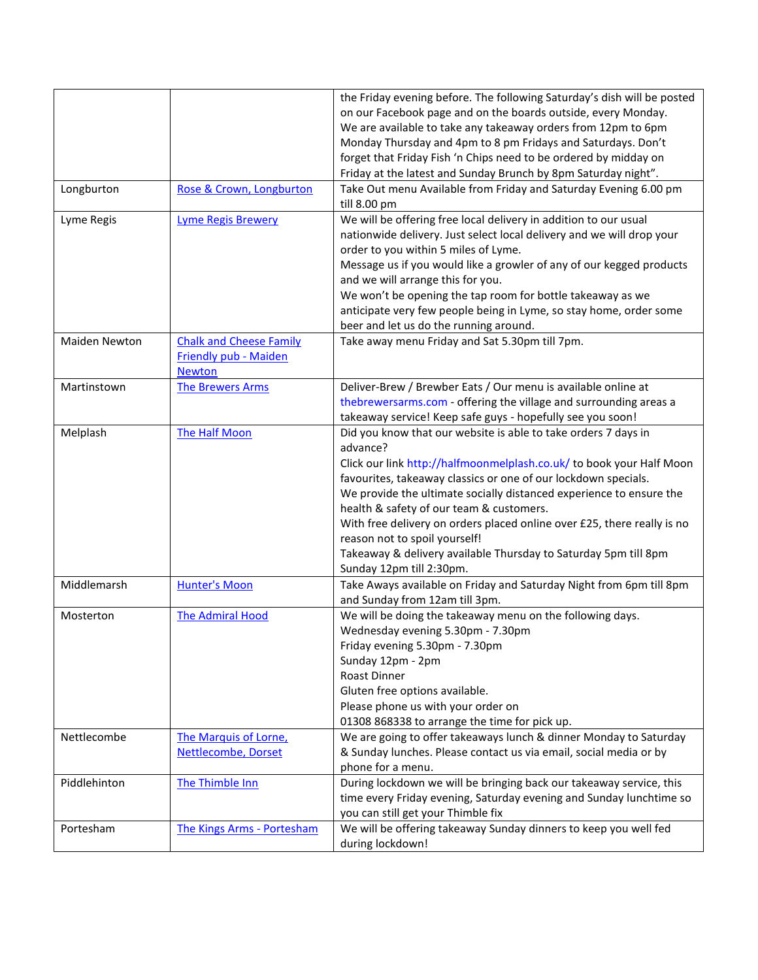|                      |                                | the Friday evening before. The following Saturday's dish will be posted                               |
|----------------------|--------------------------------|-------------------------------------------------------------------------------------------------------|
|                      |                                | on our Facebook page and on the boards outside, every Monday.                                         |
|                      |                                | We are available to take any takeaway orders from 12pm to 6pm                                         |
|                      |                                | Monday Thursday and 4pm to 8 pm Fridays and Saturdays. Don't                                          |
|                      |                                | forget that Friday Fish 'n Chips need to be ordered by midday on                                      |
|                      |                                |                                                                                                       |
|                      |                                | Friday at the latest and Sunday Brunch by 8pm Saturday night".                                        |
| Longburton           | Rose & Crown, Longburton       | Take Out menu Available from Friday and Saturday Evening 6.00 pm<br>till 8.00 pm                      |
| Lyme Regis           | <b>Lyme Regis Brewery</b>      | We will be offering free local delivery in addition to our usual                                      |
|                      |                                | nationwide delivery. Just select local delivery and we will drop your                                 |
|                      |                                | order to you within 5 miles of Lyme.                                                                  |
|                      |                                | Message us if you would like a growler of any of our kegged products                                  |
|                      |                                |                                                                                                       |
|                      |                                | and we will arrange this for you.                                                                     |
|                      |                                | We won't be opening the tap room for bottle takeaway as we                                            |
|                      |                                | anticipate very few people being in Lyme, so stay home, order some                                    |
|                      |                                | beer and let us do the running around.                                                                |
| <b>Maiden Newton</b> | <b>Chalk and Cheese Family</b> | Take away menu Friday and Sat 5.30pm till 7pm.                                                        |
|                      | Friendly pub - Maiden          |                                                                                                       |
|                      | <b>Newton</b>                  |                                                                                                       |
| Martinstown          | <b>The Brewers Arms</b>        | Deliver-Brew / Brewber Eats / Our menu is available online at                                         |
|                      |                                | thebrewersarms.com - offering the village and surrounding areas a                                     |
|                      |                                | takeaway service! Keep safe guys - hopefully see you soon!                                            |
| Melplash             | <b>The Half Moon</b>           | Did you know that our website is able to take orders 7 days in                                        |
|                      |                                | advance?                                                                                              |
|                      |                                | Click our link http://halfmoonmelplash.co.uk/ to book your Half Moon                                  |
|                      |                                | favourites, takeaway classics or one of our lockdown specials.                                        |
|                      |                                | We provide the ultimate socially distanced experience to ensure the                                   |
|                      |                                | health & safety of our team & customers.                                                              |
|                      |                                | With free delivery on orders placed online over £25, there really is no                               |
|                      |                                | reason not to spoil yourself!                                                                         |
|                      |                                | Takeaway & delivery available Thursday to Saturday 5pm till 8pm                                       |
|                      |                                | Sunday 12pm till 2:30pm.                                                                              |
| Middlemarsh          | <b>Hunter's Moon</b>           |                                                                                                       |
|                      |                                | Take Aways available on Friday and Saturday Night from 6pm till 8pm<br>and Sunday from 12am till 3pm. |
| Mosterton            | <b>The Admiral Hood</b>        | We will be doing the takeaway menu on the following days.                                             |
|                      |                                | Wednesday evening 5.30pm - 7.30pm                                                                     |
|                      |                                |                                                                                                       |
|                      |                                | Friday evening 5.30pm - 7.30pm                                                                        |
|                      |                                | Sunday 12pm - 2pm                                                                                     |
|                      |                                | Roast Dinner                                                                                          |
|                      |                                | Gluten free options available.                                                                        |
|                      |                                | Please phone us with your order on                                                                    |
|                      |                                | 01308 868338 to arrange the time for pick up.                                                         |
| Nettlecombe          | The Marquis of Lorne,          | We are going to offer takeaways lunch & dinner Monday to Saturday                                     |
|                      | Nettlecombe, Dorset            | & Sunday lunches. Please contact us via email, social media or by                                     |
|                      |                                | phone for a menu.                                                                                     |
| Piddlehinton         | The Thimble Inn                | During lockdown we will be bringing back our takeaway service, this                                   |
|                      |                                | time every Friday evening, Saturday evening and Sunday lunchtime so                                   |
|                      |                                | you can still get your Thimble fix                                                                    |
| Portesham            | The Kings Arms - Portesham     | We will be offering takeaway Sunday dinners to keep you well fed                                      |
|                      |                                | during lockdown!                                                                                      |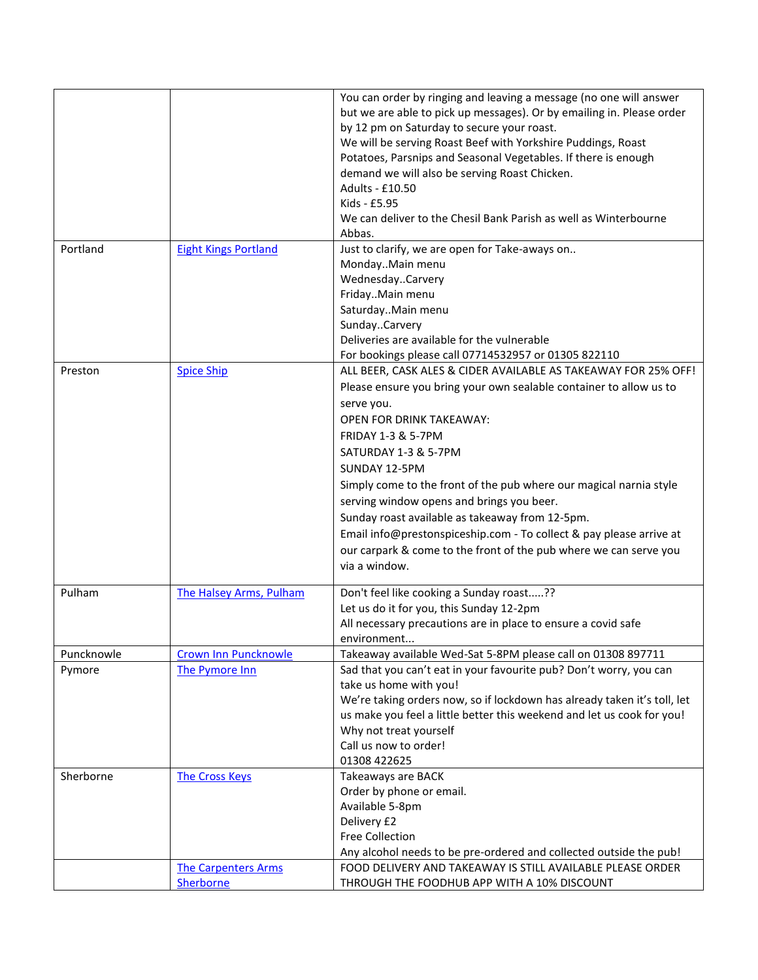|            |                                                     | You can order by ringing and leaving a message (no one will answer<br>but we are able to pick up messages). Or by emailing in. Please order<br>by 12 pm on Saturday to secure your roast.<br>We will be serving Roast Beef with Yorkshire Puddings, Roast<br>Potatoes, Parsnips and Seasonal Vegetables. If there is enough<br>demand we will also be serving Roast Chicken.<br>Adults - £10.50<br>Kids - £5.95<br>We can deliver to the Chesil Bank Parish as well as Winterbourne<br>Abbas.                                                                                                      |
|------------|-----------------------------------------------------|----------------------------------------------------------------------------------------------------------------------------------------------------------------------------------------------------------------------------------------------------------------------------------------------------------------------------------------------------------------------------------------------------------------------------------------------------------------------------------------------------------------------------------------------------------------------------------------------------|
| Portland   | <b>Eight Kings Portland</b>                         | Just to clarify, we are open for Take-aways on<br>MondayMain menu<br>WednesdayCarvery<br>FridayMain menu<br>SaturdayMain menu<br>SundayCarvery<br>Deliveries are available for the vulnerable<br>For bookings please call 07714532957 or 01305 822110                                                                                                                                                                                                                                                                                                                                              |
| Preston    | <b>Spice Ship</b>                                   | ALL BEER, CASK ALES & CIDER AVAILABLE AS TAKEAWAY FOR 25% OFF!<br>Please ensure you bring your own sealable container to allow us to<br>serve you.<br><b>OPEN FOR DRINK TAKEAWAY:</b><br><b>FRIDAY 1-3 &amp; 5-7PM</b><br>SATURDAY 1-3 & 5-7PM<br>SUNDAY 12-5PM<br>Simply come to the front of the pub where our magical narnia style<br>serving window opens and brings you beer.<br>Sunday roast available as takeaway from 12-5pm.<br>Email info@prestonspiceship.com - To collect & pay please arrive at<br>our carpark & come to the front of the pub where we can serve you<br>via a window. |
| Pulham     | The Halsey Arms, Pulham                             | Don't feel like cooking a Sunday roast??<br>Let us do it for you, this Sunday 12-2pm<br>All necessary precautions are in place to ensure a covid safe<br>environment                                                                                                                                                                                                                                                                                                                                                                                                                               |
| Puncknowle | <b>Crown Inn Puncknowle</b>                         | Takeaway available Wed-Sat 5-8PM please call on 01308 897711                                                                                                                                                                                                                                                                                                                                                                                                                                                                                                                                       |
| Pymore     | The Pymore Inn                                      | Sad that you can't eat in your favourite pub? Don't worry, you can<br>take us home with you!<br>We're taking orders now, so if lockdown has already taken it's toll, let<br>us make you feel a little better this weekend and let us cook for you!<br>Why not treat yourself<br>Call us now to order!<br>01308 422625                                                                                                                                                                                                                                                                              |
| Sherborne  | <b>The Cross Keys</b><br><b>The Carpenters Arms</b> | Takeaways are BACK<br>Order by phone or email.<br>Available 5-8pm<br>Delivery £2<br><b>Free Collection</b><br>Any alcohol needs to be pre-ordered and collected outside the pub!<br>FOOD DELIVERY AND TAKEAWAY IS STILL AVAILABLE PLEASE ORDER                                                                                                                                                                                                                                                                                                                                                     |
|            | Sherborne                                           | THROUGH THE FOODHUB APP WITH A 10% DISCOUNT                                                                                                                                                                                                                                                                                                                                                                                                                                                                                                                                                        |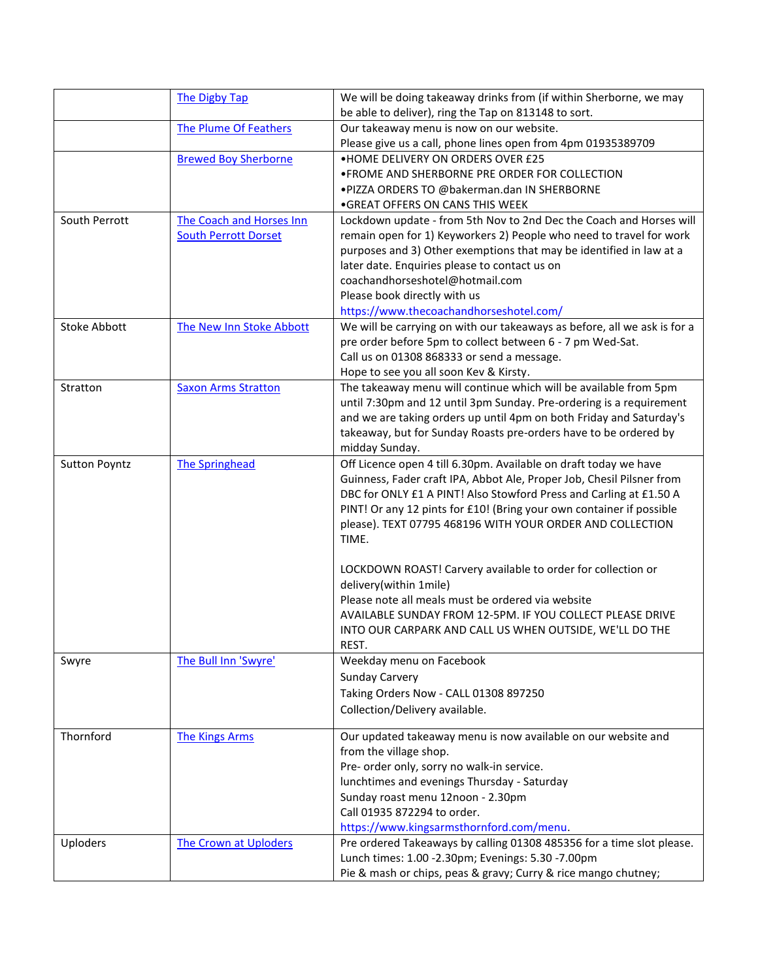|                      | The Digby Tap                | We will be doing takeaway drinks from (if within Sherborne, we may       |
|----------------------|------------------------------|--------------------------------------------------------------------------|
|                      |                              | be able to deliver), ring the Tap on 813148 to sort.                     |
|                      | <b>The Plume Of Feathers</b> | Our takeaway menu is now on our website.                                 |
|                      |                              | Please give us a call, phone lines open from 4pm 01935389709             |
|                      | <b>Brewed Boy Sherborne</b>  | . HOME DELIVERY ON ORDERS OVER £25                                       |
|                      |                              | . FROME AND SHERBORNE PRE ORDER FOR COLLECTION                           |
|                      |                              | .PIZZA ORDERS TO @bakerman.dan IN SHERBORNE                              |
|                      |                              | • GREAT OFFERS ON CANS THIS WEEK                                         |
| South Perrott        | The Coach and Horses Inn     | Lockdown update - from 5th Nov to 2nd Dec the Coach and Horses will      |
|                      | <b>South Perrott Dorset</b>  | remain open for 1) Keyworkers 2) People who need to travel for work      |
|                      |                              | purposes and 3) Other exemptions that may be identified in law at a      |
|                      |                              | later date. Enquiries please to contact us on                            |
|                      |                              | coachandhorseshotel@hotmail.com                                          |
|                      |                              | Please book directly with us                                             |
|                      |                              | https://www.thecoachandhorseshotel.com/                                  |
| <b>Stoke Abbott</b>  | The New Inn Stoke Abbott     | We will be carrying on with our takeaways as before, all we ask is for a |
|                      |                              | pre order before 5pm to collect between 6 - 7 pm Wed-Sat.                |
|                      |                              | Call us on 01308 868333 or send a message.                               |
|                      |                              | Hope to see you all soon Kev & Kirsty.                                   |
| Stratton             |                              | The takeaway menu will continue which will be available from 5pm         |
|                      | <b>Saxon Arms Stratton</b>   |                                                                          |
|                      |                              | until 7:30pm and 12 until 3pm Sunday. Pre-ordering is a requirement      |
|                      |                              | and we are taking orders up until 4pm on both Friday and Saturday's      |
|                      |                              | takeaway, but for Sunday Roasts pre-orders have to be ordered by         |
|                      |                              | midday Sunday.                                                           |
| <b>Sutton Poyntz</b> | <b>The Springhead</b>        | Off Licence open 4 till 6.30pm. Available on draft today we have         |
|                      |                              | Guinness, Fader craft IPA, Abbot Ale, Proper Job, Chesil Pilsner from    |
|                      |                              | DBC for ONLY £1 A PINT! Also Stowford Press and Carling at £1.50 A       |
|                      |                              | PINT! Or any 12 pints for £10! (Bring your own container if possible     |
|                      |                              | please). TEXT 07795 468196 WITH YOUR ORDER AND COLLECTION                |
|                      |                              | TIME.                                                                    |
|                      |                              |                                                                          |
|                      |                              | LOCKDOWN ROAST! Carvery available to order for collection or             |
|                      |                              | delivery(within 1mile)                                                   |
|                      |                              | Please note all meals must be ordered via website                        |
|                      |                              | AVAILABLE SUNDAY FROM 12-5PM. IF YOU COLLECT PLEASE DRIVE                |
|                      |                              | INTO OUR CARPARK AND CALL US WHEN OUTSIDE, WE'LL DO THE                  |
|                      |                              | REST.                                                                    |
| Swyre                | The Bull Inn 'Swyre'         | Weekday menu on Facebook                                                 |
|                      |                              | <b>Sunday Carvery</b>                                                    |
|                      |                              | Taking Orders Now - CALL 01308 897250                                    |
|                      |                              | Collection/Delivery available.                                           |
|                      |                              |                                                                          |
| Thornford            | <b>The Kings Arms</b>        | Our updated takeaway menu is now available on our website and            |
|                      |                              | from the village shop.                                                   |
|                      |                              | Pre- order only, sorry no walk-in service.                               |
|                      |                              | lunchtimes and evenings Thursday - Saturday                              |
|                      |                              | Sunday roast menu 12noon - 2.30pm                                        |
|                      |                              | Call 01935 872294 to order.                                              |
|                      |                              | https://www.kingsarmsthornford.com/menu.                                 |
| <b>Uploders</b>      | <b>The Crown at Uploders</b> | Pre ordered Takeaways by calling 01308 485356 for a time slot please.    |
|                      |                              | Lunch times: 1.00 -2.30pm; Evenings: 5.30 -7.00pm                        |
|                      |                              | Pie & mash or chips, peas & gravy; Curry & rice mango chutney;           |
|                      |                              |                                                                          |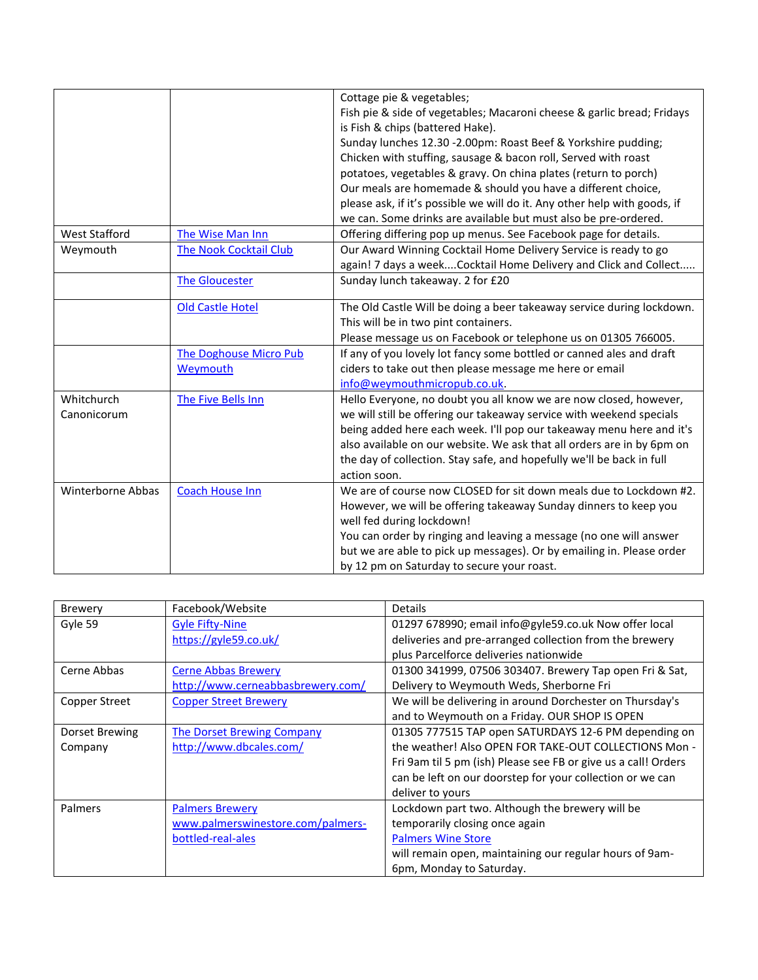|                      |                               | Cottage pie & vegetables;                                                 |
|----------------------|-------------------------------|---------------------------------------------------------------------------|
|                      |                               | Fish pie & side of vegetables; Macaroni cheese & garlic bread; Fridays    |
|                      |                               | is Fish & chips (battered Hake).                                          |
|                      |                               | Sunday lunches 12.30 -2.00pm: Roast Beef & Yorkshire pudding;             |
|                      |                               | Chicken with stuffing, sausage & bacon roll, Served with roast            |
|                      |                               | potatoes, vegetables & gravy. On china plates (return to porch)           |
|                      |                               | Our meals are homemade & should you have a different choice,              |
|                      |                               | please ask, if it's possible we will do it. Any other help with goods, if |
|                      |                               | we can. Some drinks are available but must also be pre-ordered.           |
| <b>West Stafford</b> | The Wise Man Inn              | Offering differing pop up menus. See Facebook page for details.           |
| Weymouth             | <b>The Nook Cocktail Club</b> | Our Award Winning Cocktail Home Delivery Service is ready to go           |
|                      |                               | again! 7 days a weekCocktail Home Delivery and Click and Collect          |
|                      | <b>The Gloucester</b>         | Sunday lunch takeaway. 2 for £20                                          |
|                      |                               |                                                                           |
|                      | <b>Old Castle Hotel</b>       | The Old Castle Will be doing a beer takeaway service during lockdown.     |
|                      |                               | This will be in two pint containers.                                      |
|                      |                               | Please message us on Facebook or telephone us on 01305 766005.            |
|                      | <b>The Doghouse Micro Pub</b> | If any of you lovely lot fancy some bottled or canned ales and draft      |
|                      | Weymouth                      | ciders to take out then please message me here or email                   |
|                      |                               | info@weymouthmicropub.co.uk.                                              |
| Whitchurch           | The Five Bells Inn            | Hello Everyone, no doubt you all know we are now closed, however,         |
| Canonicorum          |                               | we will still be offering our takeaway service with weekend specials      |
|                      |                               | being added here each week. I'll pop our takeaway menu here and it's      |
|                      |                               | also available on our website. We ask that all orders are in by 6pm on    |
|                      |                               | the day of collection. Stay safe, and hopefully we'll be back in full     |
|                      |                               | action soon.                                                              |
| Winterborne Abbas    | <b>Coach House Inn</b>        | We are of course now CLOSED for sit down meals due to Lockdown #2.        |
|                      |                               | However, we will be offering takeaway Sunday dinners to keep you          |
|                      |                               | well fed during lockdown!                                                 |
|                      |                               | You can order by ringing and leaving a message (no one will answer        |
|                      |                               | but we are able to pick up messages). Or by emailing in. Please order     |
|                      |                               | by 12 pm on Saturday to secure your roast.                                |

| <b>Brewery</b> | Facebook/Website                  | Details                                                        |
|----------------|-----------------------------------|----------------------------------------------------------------|
| Gyle 59        | <b>Gyle Fifty-Nine</b>            | 01297 678990; email info@gyle59.co.uk Now offer local          |
|                | https://gyle59.co.uk/             | deliveries and pre-arranged collection from the brewery        |
|                |                                   | plus Parcelforce deliveries nationwide                         |
| Cerne Abbas    | <b>Cerne Abbas Brewery</b>        | 01300 341999, 07506 303407. Brewery Tap open Fri & Sat.        |
|                | http://www.cerneabbasbrewery.com/ | Delivery to Weymouth Weds, Sherborne Fri                       |
| Copper Street  | <b>Copper Street Brewery</b>      | We will be delivering in around Dorchester on Thursday's       |
|                |                                   | and to Weymouth on a Friday. OUR SHOP IS OPEN                  |
| Dorset Brewing | <b>The Dorset Brewing Company</b> | 01305 777515 TAP open SATURDAYS 12-6 PM depending on           |
| Company        | http://www.dbcales.com/           | the weather! Also OPEN FOR TAKE-OUT COLLECTIONS Mon -          |
|                |                                   | Fri 9am til 5 pm (ish) Please see FB or give us a call! Orders |
|                |                                   | can be left on our doorstep for your collection or we can      |
|                |                                   | deliver to yours                                               |
| Palmers        | <b>Palmers Brewery</b>            | Lockdown part two. Although the brewery will be                |
|                | www.palmerswinestore.com/palmers- | temporarily closing once again                                 |
|                | bottled-real-ales                 | <b>Palmers Wine Store</b>                                      |
|                |                                   | will remain open, maintaining our regular hours of 9am-        |
|                |                                   | 6pm, Monday to Saturday.                                       |